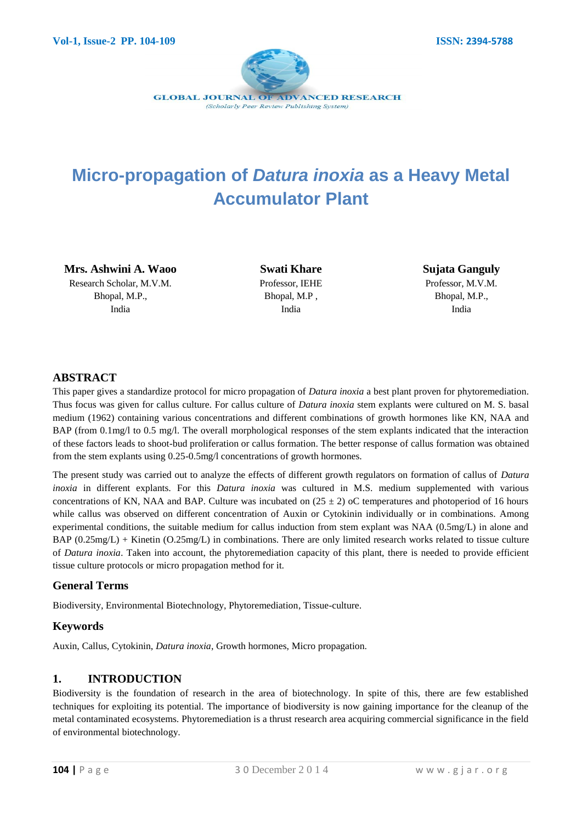

# **Micro-propagation of** *Datura inoxia* **as a Heavy Metal Accumulator Plant**

**Mrs. Ashwini A. Waoo** Research Scholar, M.V.M. Bhopal, M.P., India

**Swati Khare** Professor, IEHE Bhopal, M.P , India

**Sujata Ganguly** Professor, M.V.M. Bhopal, M.P., India

## **ABSTRACT**

This paper gives a standardize protocol for micro propagation of *Datura inoxia* a best plant proven for phytoremediation. Thus focus was given for callus culture. For callus culture of *Datura inoxia* stem explants were cultured on M. S. basal medium (1962) containing various concentrations and different combinations of growth hormones like KN, NAA and BAP (from 0.1mg/l to 0.5 mg/l. The overall morphological responses of the stem explants indicated that the interaction of these factors leads to shoot-bud proliferation or callus formation. The better response of callus formation was obtained from the stem explants using 0.25-0.5mg/l concentrations of growth hormones.

The present study was carried out to analyze the effects of different growth regulators on formation of callus of *Datura inoxia* in different explants. For this *Datura inoxia* was cultured in M.S. medium supplemented with various concentrations of KN, NAA and BAP. Culture was incubated on  $(25 \pm 2)$  oC temperatures and photoperiod of 16 hours while callus was observed on different concentration of Auxin or Cytokinin individually or in combinations. Among experimental conditions, the suitable medium for callus induction from stem explant was NAA (0.5mg/L) in alone and BAP (0.25mg/L) + Kinetin (O.25mg/L) in combinations. There are only limited research works related to tissue culture of *Datura inoxia*. Taken into account, the phytoremediation capacity of this plant, there is needed to provide efficient tissue culture protocols or micro propagation method for it.

## **General Terms**

Biodiversity, Environmental Biotechnology, Phytoremediation, Tissue-culture.

#### **Keywords**

Auxin, Callus, Cytokinin, *Datura inoxia*, Growth hormones, Micro propagation.

#### **1. INTRODUCTION**

Biodiversity is the foundation of research in the area of biotechnology. In spite of this, there are few established techniques for exploiting its potential. The importance of biodiversity is now gaining importance for the cleanup of the metal contaminated ecosystems. Phytoremediation is a thrust research area acquiring commercial significance in the field of environmental biotechnology.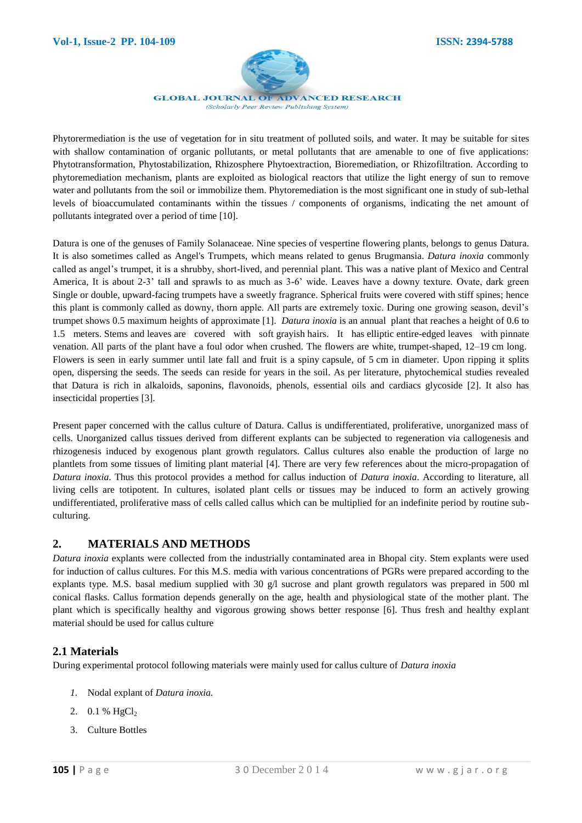

**GLOBAL JOURNAL OF ADVANCED RESEARCH** (Scholarly Peer Review Publishing System)

Phytorermediation is the use of vegetation for in situ treatment of polluted soils, and water. It may be suitable for sites with shallow contamination of organic pollutants, or metal pollutants that are amenable to one of five applications: Phytotransformation, Phytostabilization, Rhizosphere Phytoextraction, Bioremediation, or Rhizofiltration. According to phytoremediation mechanism, plants are exploited as biological reactors that utilize the light energy of sun to remove water and pollutants from the soil or immobilize them. Phytoremediation is the most significant one in study of sub-lethal levels of bioaccumulated contaminants within the tissues / components of organisms, indicating the net amount of pollutants integrated over a period of time [10].

Datura is one of the genuses of Family Solanaceae. Nine species of vespertine flowering plants, belongs to genus Datura. It is also sometimes called as Angel's Trumpets, which means related to genus Brugmansia. *Datura inoxia* commonly called as angel's trumpet, it is a shrubby, short-lived, and perennial plant. This was a native plant of Mexico and Central America, It is about 2-3' tall and sprawls to as much as 3-6' wide. Leaves have a downy texture. Ovate, dark green Single or double, upward-facing trumpets have a sweetly fragrance. Spherical fruits were covered with stiff spines; hence this plant is commonly called as downy, thorn apple. All parts are extremely toxic. During one growing season, devil's trumpet shows 0.5 maximum heights of approximate [1]. *Datura inoxia* is an [annual](http://en.wikipedia.org/wiki/Annual_plant) plant that reaches a height of 0.6 to 1.5 meters. [Stems](http://en.wikipedia.org/wiki/Plant_stem) and [leaves](http://en.wikipedia.org/wiki/Leaf) are covered with soft [grayish](http://en.wikipedia.org/wiki/Gray_(color)) hairs. It has [elliptic](http://en.wikipedia.org/wiki/Leaf_shape) [entire-edged](http://en.wikipedia.org/wiki/Leaf#Margins_.28edge.29) leaves with [pinnate](http://en.wikipedia.org/wiki/Leaf#Venation_.28arrangement_of_the_veins.29)  [venation.](http://en.wikipedia.org/wiki/Leaf#Venation_.28arrangement_of_the_veins.29) All parts of the plant have a foul odor when crushed. The flowers are [white,](http://en.wikipedia.org/wiki/White) [trumpet-](http://en.wikipedia.org/wiki/Trumpet)shaped, 12–19 cm long. Flowers is seen in early summer until late fall and fruit is a spiny [capsule,](http://en.wikipedia.org/wiki/Capsule_(fruit)) of 5 cm in diameter. Upon ripping it splits open, dispersing the seeds. The seeds can reside for years in the soil. As per literature, phytochemical studies revealed that Datura is rich in alkaloids, saponins, flavonoids, phenols, essential oils and cardiacs glycoside [2]. It also has insecticidal properties [3].

Present paper concerned with the callus culture of Datura. Callus is undifferentiated, proliferative, unorganized mass of cells. Unorganized callus tissues derived from different explants can be subjected to regeneration via callogenesis and rhizogenesis induced by exogenous plant growth regulators. Callus cultures also enable the production of large no plantlets from some tissues of limiting plant material [4]. There are very few references about the micro-propagation of *Datura inoxia*. Thus this protocol provides a method for callus induction of *Datura inoxia*. According to literature, all living cells are totipotent. In cultures, isolated plant cells or tissues may be induced to form an actively growing undifferentiated, proliferative mass of cells called callus which can be multiplied for an indefinite period by routine subculturing.

## **2. MATERIALS AND METHODS**

*Datura inoxia* explants were collected from the industrially contaminated area in Bhopal city. Stem explants were used for induction of callus cultures. For this M.S. media with various concentrations of PGRs were prepared according to the explants type. M.S. basal medium supplied with 30  $g/l$  sucrose and plant growth regulators was prepared in 500 ml conical flasks. Callus formation depends generally on the age, health and physiological state of the mother plant. The plant which is specifically healthy and vigorous growing shows better response [6]. Thus fresh and healthy explant material should be used for callus culture

## **2.1 Materials**

During experimental protocol following materials were mainly used for callus culture of *Datura inoxia*

- *1.* Nodal explant of *Datura inoxia.*
- 2.  $0.1 \%$  HgCl<sub>2</sub>
- 3. Culture Bottles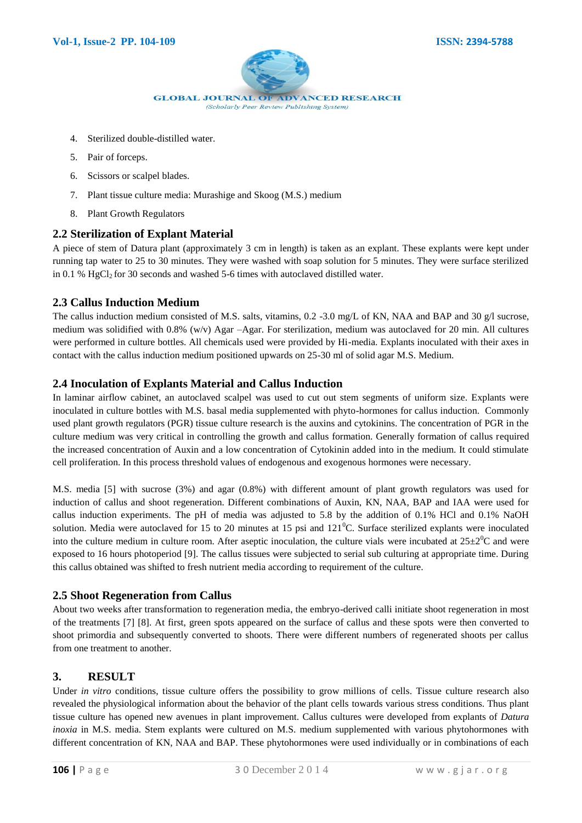

- 4. Sterilized double-distilled water.
- 5. Pair of forceps.
- 6. Scissors or scalpel blades.
- 7. Plant tissue culture media: Murashige and Skoog (M.S.) medium
- 8. Plant Growth Regulators

#### **2.2 Sterilization of Explant Material**

A piece of stem of Datura plant (approximately 3 cm in length) is taken as an explant. These explants were kept under running tap water to 25 to 30 minutes. They were washed with soap solution for 5 minutes. They were surface sterilized in 0.1 % HgCl<sub>2</sub> for 30 seconds and washed 5-6 times with autoclaved distilled water.

#### **2.3 Callus Induction Medium**

The callus induction medium consisted of M.S. salts, vitamins, 0.2 -3.0 mg/L of KN, NAA and BAP and 30 g/l sucrose, medium was solidified with 0.8% (w/v) Agar –Agar. For sterilization, medium was autoclaved for 20 min. All cultures were performed in culture bottles. All chemicals used were provided by Hi-media. Explants inoculated with their axes in contact with the callus induction medium positioned upwards on 25-30 ml of solid agar M.S. Medium.

## **2.4 Inoculation of Explants Material and Callus Induction**

In laminar airflow cabinet, an autoclaved scalpel was used to cut out stem segments of uniform size. Explants were inoculated in culture bottles with M.S. basal media supplemented with phyto-hormones for callus induction. Commonly used plant growth regulators (PGR) tissue culture research is the auxins and cytokinins. The concentration of PGR in the culture medium was very critical in controlling the growth and callus formation. Generally formation of callus required the increased concentration of Auxin and a low concentration of Cytokinin added into in the medium. It could stimulate cell proliferation. In this process threshold values of endogenous and exogenous hormones were necessary.

M.S. media [5] with sucrose (3%) and agar (0.8%) with different amount of plant growth regulators was used for induction of callus and shoot regeneration. Different combinations of Auxin, KN, NAA, BAP and IAA were used for callus induction experiments. The pH of media was adjusted to 5.8 by the addition of 0.1% HCl and 0.1% NaOH solution. Media were autoclaved for 15 to 20 minutes at 15 psi and  $121^{\circ}$ C. Surface sterilized explants were inoculated into the culture medium in culture room. After aseptic inoculation, the culture vials were incubated at  $25\pm2^0C$  and were exposed to 16 hours photoperiod [9]. The callus tissues were subjected to serial sub culturing at appropriate time. During this callus obtained was shifted to fresh nutrient media according to requirement of the culture.

#### **2.5 Shoot Regeneration from Callus**

About two weeks after transformation to regeneration media, the embryo-derived calli initiate shoot regeneration in most of the treatments [7] [8]. At first, green spots appeared on the surface of callus and these spots were then converted to shoot primordia and subsequently converted to shoots. There were different numbers of regenerated shoots per callus from one treatment to another.

## **3. RESULT**

Under *in vitro* conditions, tissue culture offers the possibility to grow millions of cells. Tissue culture research also revealed the physiological information about the behavior of the plant cells towards various stress conditions. Thus plant tissue culture has opened new avenues in plant improvement. Callus cultures were developed from explants of *Datura inoxia* in M.S. media. Stem explants were cultured on M.S. medium supplemented with various phytohormones with different concentration of KN, NAA and BAP. These phytohormones were used individually or in combinations of each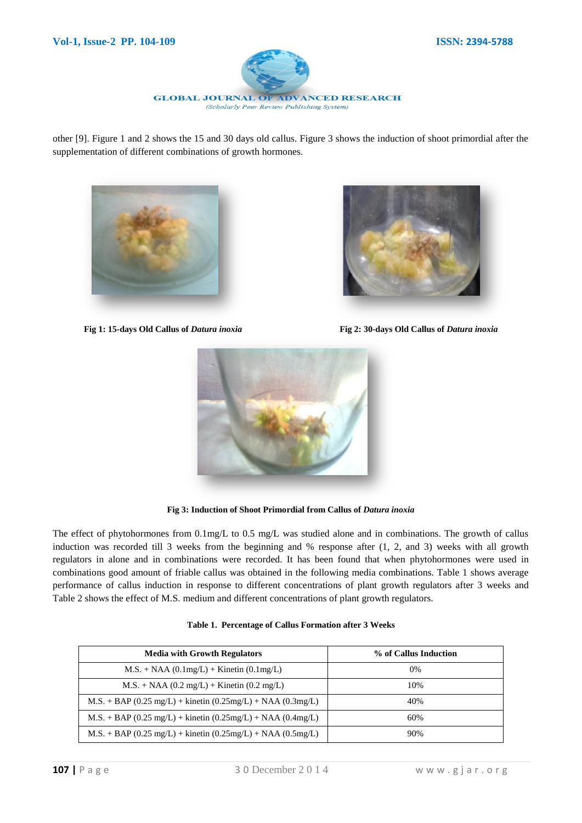

other [9]. Figure 1 and 2 shows the 15 and 30 days old callus. Figure 3 shows the induction of shoot primordial after the supplementation of different combinations of growth hormones.





**Fig 1: 15-days Old Callus of** *Datura inoxia* **Fig 2: 30-days Old Callus of** *Datura inoxia*



Fig 3: Induction of Shoot Primordial from Callus of *Datura inoxia* 

The effect of phytohormones from 0.1mg/L to 0.5 mg/L was studied alone and in combinations. The growth of callus induction was recorded till 3 weeks from the beginning and % response after (1, 2, and 3) weeks with all growth regulators in alone and in combinations were recorded. It has been found that when phytohormones were used in combinations good amount of friable callus was obtained in the following media combinations. Table 1 shows average performance of callus induction in response to different concentrations of plant growth regulators after 3 weeks and Table 2 shows the effect of M.S. medium and different concentrations of plant growth regulators.

| Table 1. Percentage of Callus Formation after 3 Weeks |  |
|-------------------------------------------------------|--|
|                                                       |  |

| <b>Media with Growth Regulators</b>                             | % of Callus Induction |  |
|-----------------------------------------------------------------|-----------------------|--|
| $M.S. + NAA (0.1mg/L) + Kinetin (0.1mg/L)$                      | $0\%$                 |  |
| $M.S. + NAA (0.2 mg/L) + Kinetin (0.2 mg/L)$                    | 10%                   |  |
| $M.S. + BAP (0.25 mg/L) + kinetic (0.25 mg/L) + NAA (0.3 mg/L)$ | 40%                   |  |
| $M.S. + BAP (0.25 mg/L) + kinetic (0.25 mg/L) + NAA (0.4 mg/L)$ | 60%                   |  |
| $M.S. + BAP (0.25 mg/L) + kinetic (0.25 mg/L) + NAA (0.5 mg/L)$ | 90%                   |  |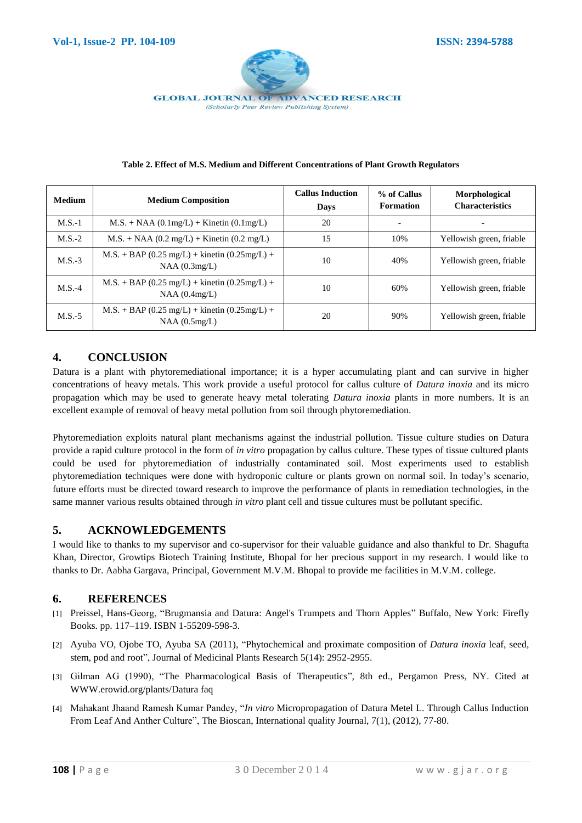

| <b>Medium</b> | <b>Medium Composition</b>                                        | <b>Callus Induction</b><br>Days | % of Callus<br><b>Formation</b> | Morphological<br><b>Characteristics</b> |
|---------------|------------------------------------------------------------------|---------------------------------|---------------------------------|-----------------------------------------|
| $M.S.-1$      | $M.S. + NAA (0.1mg/L) + Kinetin (0.1mg/L)$                       | 20                              |                                 |                                         |
| $M.S.-2$      | $M.S. + NAA (0.2 mg/L) + Kinetin (0.2 mg/L)$                     | 15                              | 10%                             | Yellowish green, friable                |
| $M.S.-3$      | $M.S. + BAP (0.25 mg/L) +$ kinetin (0.25mg/L) +<br>NAA(0.3mg/L)  | 10                              | 40%                             | Yellowish green, friable                |
| $M.S.-4$      | $M.S. + BAP (0.25 mg/L) +$ kinetin (0.25mg/L) +<br>NAA(0.4mg/L)  | 10                              | 60%                             | Yellowish green, friable                |
| $M.S.-5$      | $M.S. + BAP (0.25 mg/L) +$ kinetin (0.25mg/L) +<br>NAA (0.5mg/L) | 20                              | 90%                             | Yellowish green, friable                |

## **4. CONCLUSION**

Datura is a plant with phytoremediational importance; it is a hyper accumulating plant and can survive in higher concentrations of heavy metals. This work provide a useful protocol for callus culture of *Datura inoxia* and its micro propagation which may be used to generate heavy metal tolerating *Datura inoxia* plants in more numbers. It is an excellent example of removal of heavy metal pollution from soil through phytoremediation.

Phytoremediation exploits natural plant mechanisms against the industrial pollution. Tissue culture studies on Datura provide a rapid culture protocol in the form of *in vitro* propagation by callus culture. These types of tissue cultured plants could be used for phytoremediation of industrially contaminated soil. Most experiments used to establish phytoremediation techniques were done with hydroponic culture or plants grown on normal soil. In today's scenario, future efforts must be directed toward research to improve the performance of plants in remediation technologies, in the same manner various results obtained through *in vitro* plant cell and tissue cultures must be pollutant specific.

## **5. ACKNOWLEDGEMENTS**

I would like to thanks to my supervisor and co-supervisor for their valuable guidance and also thankful to Dr. Shagufta Khan, Director, Growtips Biotech Training Institute, Bhopal for her precious support in my research. I would like to thanks to Dr. Aabha Gargava, Principal, Government M.V.M. Bhopal to provide me facilities in M.V.M. college.

#### **6. REFERENCES**

- [1] Preissel, Hans-Georg, ["Brugmansia and Datura: Angel's Trumpets and Thorn Apples"](http://www.amazon.com/Brugmansia-Datura-Angels-Trumpets-Apples/dp/1552095584) Buffalo, New York: Firefly Books. pp. 117–119[. ISBN](http://en.wikipedia.org/wiki/International_Standard_Book_Number) [1-55209-598-3.](http://en.wikipedia.org/wiki/Special:BookSources/1-55209-598-3)
- [2] Ayuba VO, Ojobe TO, Ayuba SA (2011), "Phytochemical and proximate composition of *Datura inoxia* leaf, seed, stem, pod and root", Journal of Medicinal Plants Research 5(14): 2952-2955.
- [3] Gilman AG (1990), "The Pharmacological Basis of Therapeutics", 8th ed., Pergamon Press, NY. Cited at WWW.erowid.org/plants/Datura faq
- [4] Mahakant Jhaand Ramesh Kumar Pandey, "*In vitro* Micropropagation of Datura Metel L. Through Callus Induction From Leaf And Anther Culture", The Bioscan, International quality Journal, 7(1), (2012), 77-80.